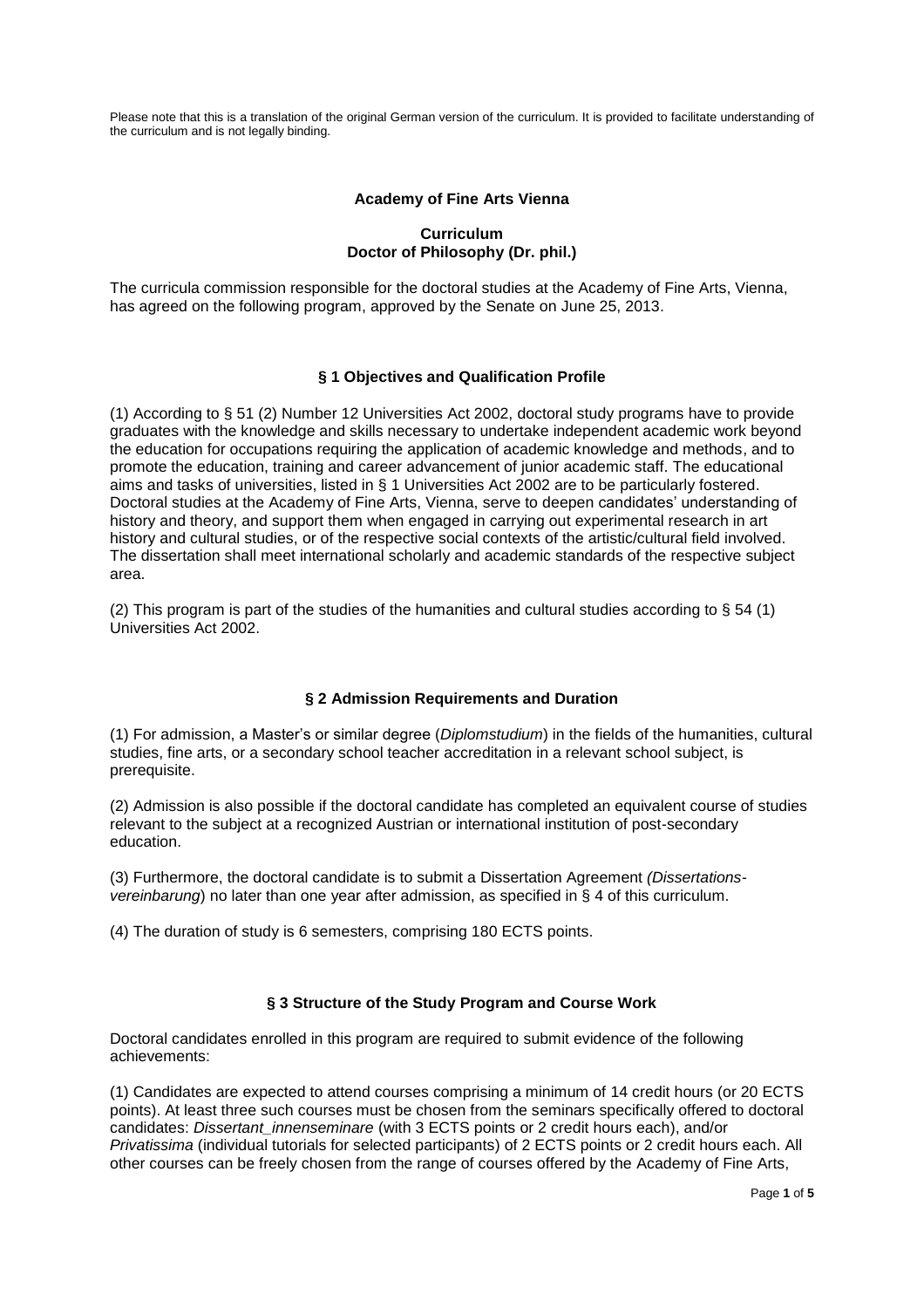Please note that this is a translation of the original German version of the curriculum. It is provided to facilitate understanding of the curriculum and is not legally binding.

### **Academy of Fine Arts Vienna**

### **Curriculum Doctor of Philosophy (Dr. phil.)**

The curricula commission responsible for the doctoral studies at the Academy of Fine Arts, Vienna, has agreed on the following program, approved by the Senate on June 25, 2013.

# **§ 1 Objectives and Qualification Profile**

(1) According to § 51 (2) Number 12 Universities Act 2002, doctoral study programs have to provide graduates with the knowledge and skills necessary to undertake independent academic work beyond the education for occupations requiring the application of academic knowledge and methods, and to promote the education, training and career advancement of junior academic staff. The educational aims and tasks of universities, listed in § 1 Universities Act 2002 are to be particularly fostered. Doctoral studies at the Academy of Fine Arts, Vienna, serve to deepen candidates' understanding of history and theory, and support them when engaged in carrying out experimental research in art history and cultural studies, or of the respective social contexts of the artistic/cultural field involved. The dissertation shall meet international scholarly and academic standards of the respective subject area.

(2) This program is part of the studies of the humanities and cultural studies according to  $\S$  54 (1) Universities Act 2002.

# **§ 2 Admission Requirements and Duration**

(1) For admission, a Master's or similar degree (*Diplomstudium*) in the fields of the humanities, cultural studies, fine arts, or a secondary school teacher accreditation in a relevant school subject, is prerequisite.

(2) Admission is also possible if the doctoral candidate has completed an equivalent course of studies relevant to the subject at a recognized Austrian or international institution of post-secondary education.

(3) Furthermore, the doctoral candidate is to submit a Dissertation Agreement *(Dissertationsvereinbarung*) no later than one year after admission, as specified in § 4 of this curriculum.

(4) The duration of study is 6 semesters, comprising 180 ECTS points.

# **§ 3 Structure of the Study Program and Course Work**

Doctoral candidates enrolled in this program are required to submit evidence of the following achievements:

(1) Candidates are expected to attend courses comprising a minimum of 14 credit hours (or 20 ECTS points). At least three such courses must be chosen from the seminars specifically offered to doctoral candidates: *Dissertant\_innenseminare* (with 3 ECTS points or 2 credit hours each), and/or *Privatissima* (individual tutorials for selected participants) of 2 ECTS points or 2 credit hours each. All other courses can be freely chosen from the range of courses offered by the Academy of Fine Arts,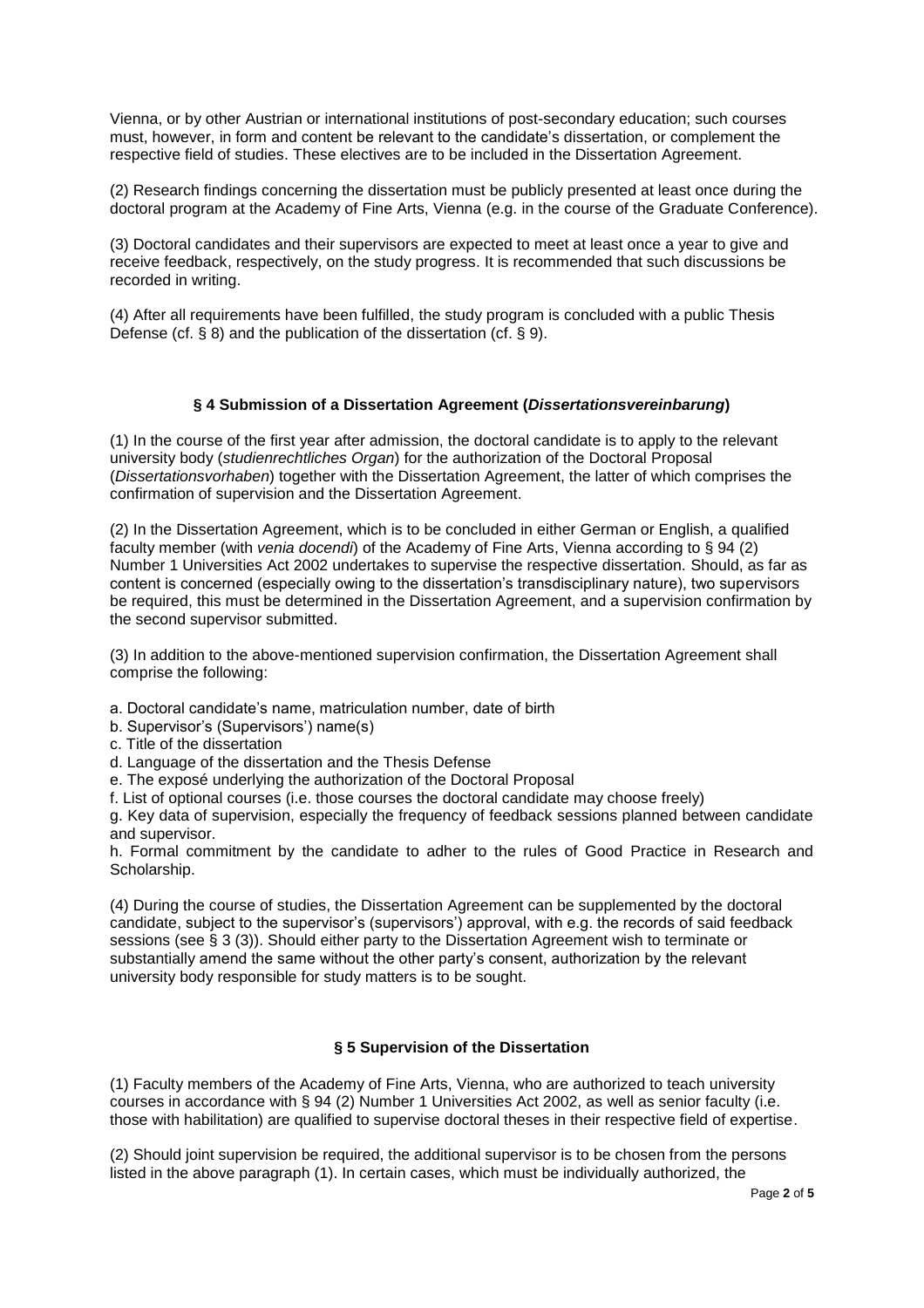Vienna, or by other Austrian or international institutions of post-secondary education; such courses must, however, in form and content be relevant to the candidate's dissertation, or complement the respective field of studies. These electives are to be included in the Dissertation Agreement.

(2) Research findings concerning the dissertation must be publicly presented at least once during the doctoral program at the Academy of Fine Arts, Vienna (e.g. in the course of the Graduate Conference).

(3) Doctoral candidates and their supervisors are expected to meet at least once a year to give and receive feedback, respectively, on the study progress. It is recommended that such discussions be recorded in writing.

(4) After all requirements have been fulfilled, the study program is concluded with a public Thesis Defense (cf. § 8) and the publication of the dissertation (cf. § 9).

### **§ 4 Submission of a Dissertation Agreement (***Dissertationsvereinbarung***)**

(1) In the course of the first year after admission, the doctoral candidate is to apply to the relevant university body (*studienrechtliches Organ*) for the authorization of the Doctoral Proposal (*Dissertationsvorhaben*) together with the Dissertation Agreement, the latter of which comprises the confirmation of supervision and the Dissertation Agreement.

(2) In the Dissertation Agreement, which is to be concluded in either German or English, a qualified faculty member (with *venia docendi*) of the Academy of Fine Arts, Vienna according to § 94 (2) Number 1 Universities Act 2002 undertakes to supervise the respective dissertation. Should, as far as content is concerned (especially owing to the dissertation's transdisciplinary nature), two supervisors be required, this must be determined in the Dissertation Agreement, and a supervision confirmation by the second supervisor submitted.

(3) In addition to the above-mentioned supervision confirmation, the Dissertation Agreement shall comprise the following:

a. Doctoral candidate's name, matriculation number, date of birth

- b. Supervisor's (Supervisors') name(s)
- c. Title of the dissertation
- d. Language of the dissertation and the Thesis Defense
- e. The exposé underlying the authorization of the Doctoral Proposal

f. List of optional courses (i.e. those courses the doctoral candidate may choose freely)

g. Key data of supervision, especially the frequency of feedback sessions planned between candidate and supervisor.

h. Formal commitment by the candidate to adher to the rules of Good Practice in Research and Scholarship.

(4) During the course of studies, the Dissertation Agreement can be supplemented by the doctoral candidate, subject to the supervisor's (supervisors') approval, with e.g. the records of said feedback sessions (see § 3 (3)). Should either party to the Dissertation Agreement wish to terminate or substantially amend the same without the other party's consent, authorization by the relevant university body responsible for study matters is to be sought.

# **§ 5 Supervision of the Dissertation**

(1) Faculty members of the Academy of Fine Arts, Vienna, who are authorized to teach university courses in accordance with § 94 (2) Number 1 Universities Act 2002, as well as senior faculty (i.e. those with habilitation) are qualified to supervise doctoral theses in their respective field of expertise.

(2) Should joint supervision be required, the additional supervisor is to be chosen from the persons listed in the above paragraph (1). In certain cases, which must be individually authorized, the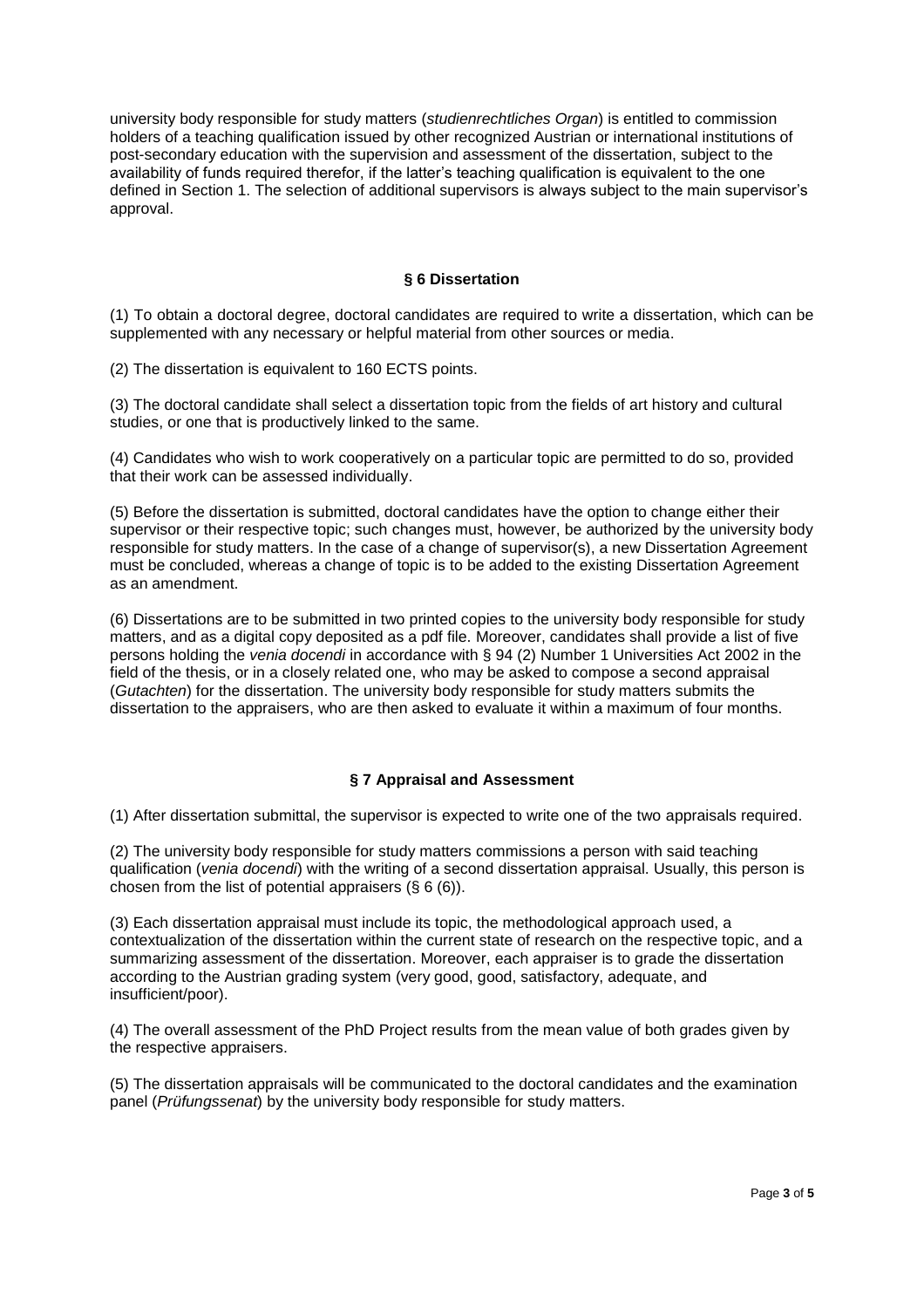university body responsible for study matters (*studienrechtliches Organ*) is entitled to commission holders of a teaching qualification issued by other recognized Austrian or international institutions of post-secondary education with the supervision and assessment of the dissertation, subject to the availability of funds required therefor, if the latter's teaching qualification is equivalent to the one defined in Section 1. The selection of additional supervisors is always subject to the main supervisor's approval.

### **§ 6 Dissertation**

(1) To obtain a doctoral degree, doctoral candidates are required to write a dissertation, which can be supplemented with any necessary or helpful material from other sources or media.

(2) The dissertation is equivalent to 160 ECTS points.

(3) The doctoral candidate shall select a dissertation topic from the fields of art history and cultural studies, or one that is productively linked to the same.

(4) Candidates who wish to work cooperatively on a particular topic are permitted to do so, provided that their work can be assessed individually.

(5) Before the dissertation is submitted, doctoral candidates have the option to change either their supervisor or their respective topic; such changes must, however, be authorized by the university body responsible for study matters. In the case of a change of supervisor(s), a new Dissertation Agreement must be concluded, whereas a change of topic is to be added to the existing Dissertation Agreement as an amendment.

(6) Dissertations are to be submitted in two printed copies to the university body responsible for study matters, and as a digital copy deposited as a pdf file. Moreover, candidates shall provide a list of five persons holding the *venia docendi* in accordance with § 94 (2) Number 1 Universities Act 2002 in the field of the thesis, or in a closely related one, who may be asked to compose a second appraisal (*Gutachten*) for the dissertation. The university body responsible for study matters submits the dissertation to the appraisers, who are then asked to evaluate it within a maximum of four months.

# **§ 7 Appraisal and Assessment**

(1) After dissertation submittal, the supervisor is expected to write one of the two appraisals required.

(2) The university body responsible for study matters commissions a person with said teaching qualification (*venia docendi*) with the writing of a second dissertation appraisal. Usually, this person is chosen from the list of potential appraisers (§ 6 (6)).

(3) Each dissertation appraisal must include its topic, the methodological approach used, a contextualization of the dissertation within the current state of research on the respective topic, and a summarizing assessment of the dissertation. Moreover, each appraiser is to grade the dissertation according to the Austrian grading system (very good, good, satisfactory, adequate, and insufficient/poor).

(4) The overall assessment of the PhD Project results from the mean value of both grades given by the respective appraisers.

(5) The dissertation appraisals will be communicated to the doctoral candidates and the examination panel (*Prüfungssenat*) by the university body responsible for study matters.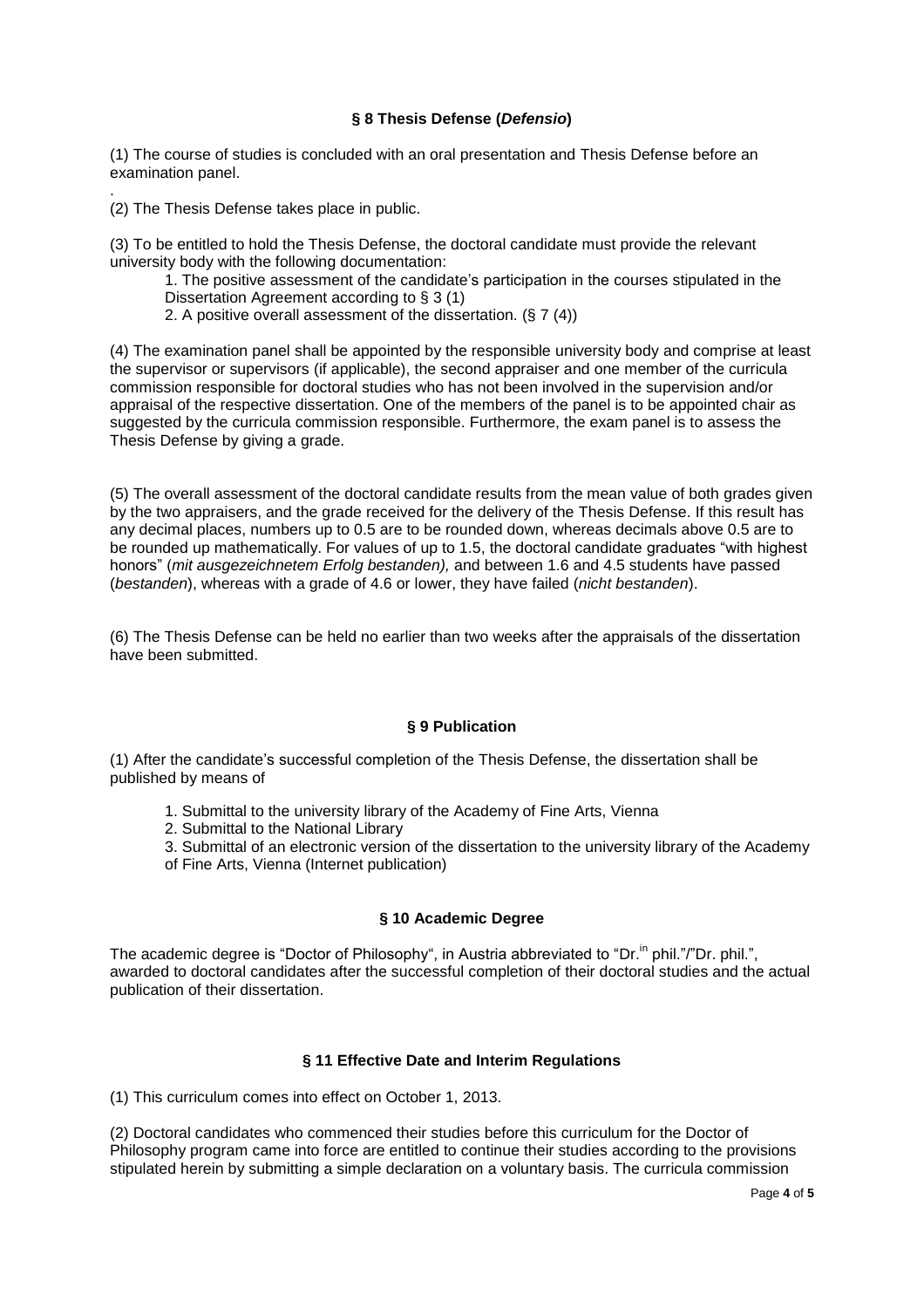### **§ 8 Thesis Defense (***Defensio***)**

(1) The course of studies is concluded with an oral presentation and Thesis Defense before an examination panel.

. (2) The Thesis Defense takes place in public.

(3) To be entitled to hold the Thesis Defense, the doctoral candidate must provide the relevant university body with the following documentation:

1. The positive assessment of the candidate's participation in the courses stipulated in the

- Dissertation Agreement according to § 3 (1)
- 2. A positive overall assessment of the dissertation. (§ 7 (4))

(4) The examination panel shall be appointed by the responsible university body and comprise at least the supervisor or supervisors (if applicable), the second appraiser and one member of the curricula commission responsible for doctoral studies who has not been involved in the supervision and/or appraisal of the respective dissertation. One of the members of the panel is to be appointed chair as suggested by the curricula commission responsible. Furthermore, the exam panel is to assess the Thesis Defense by giving a grade.

(5) The overall assessment of the doctoral candidate results from the mean value of both grades given by the two appraisers, and the grade received for the delivery of the Thesis Defense. If this result has any decimal places, numbers up to 0.5 are to be rounded down, whereas decimals above 0.5 are to be rounded up mathematically. For values of up to 1.5, the doctoral candidate graduates "with highest honors" (*mit ausgezeichnetem Erfolg bestanden),* and between 1.6 and 4.5 students have passed (*bestanden*), whereas with a grade of 4.6 or lower, they have failed (*nicht bestanden*).

(6) The Thesis Defense can be held no earlier than two weeks after the appraisals of the dissertation have been submitted.

#### **§ 9 Publication**

(1) After the candidate's successful completion of the Thesis Defense, the dissertation shall be published by means of

- 1. Submittal to the university library of the Academy of Fine Arts, Vienna
- 2. Submittal to the National Library
- 3. Submittal of an electronic version of the dissertation to the university library of the Academy
- of Fine Arts, Vienna (Internet publication)

# **§ 10 Academic Degree**

The academic degree is "Doctor of Philosophy", in Austria abbreviated to "Dr.<sup>in</sup> phil."/"Dr. phil.", awarded to doctoral candidates after the successful completion of their doctoral studies and the actual publication of their dissertation.

# **§ 11 Effective Date and Interim Regulations**

(1) This curriculum comes into effect on October 1, 2013.

(2) Doctoral candidates who commenced their studies before this curriculum for the Doctor of Philosophy program came into force are entitled to continue their studies according to the provisions stipulated herein by submitting a simple declaration on a voluntary basis. The curricula commission